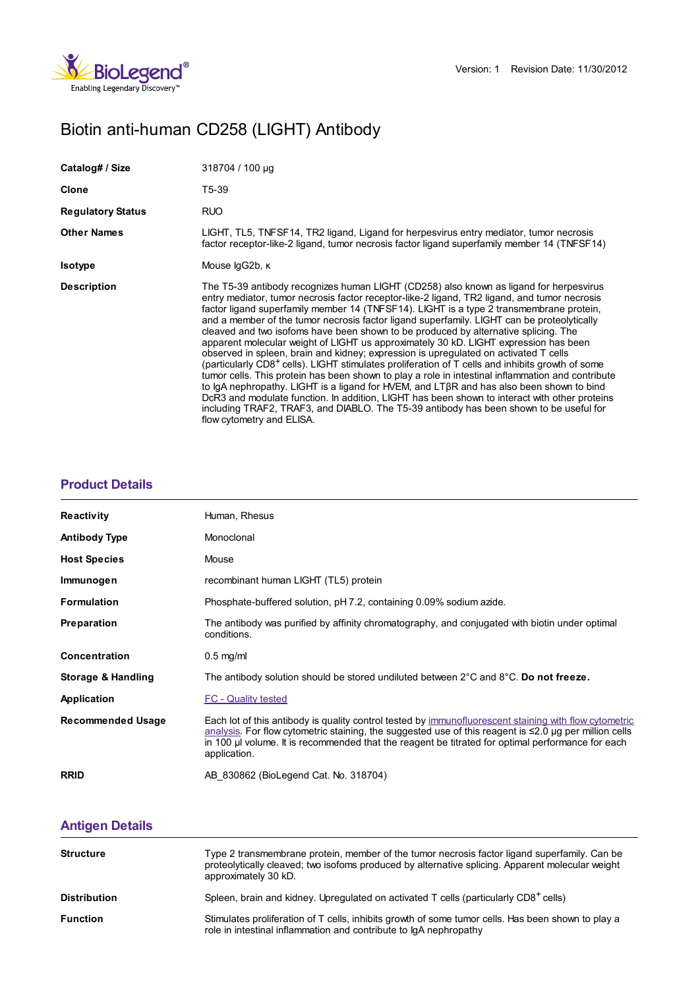

# Biotin anti-human CD258 (LIGHT) Antibody

| Catalog# / Size          | 318704 / 100 µg                                                                                                                                                                                                                                                                                                                                                                                                                                                                                                                                                                                                                                                                                                                                                                                                                                                                                                                                                                                                                                                                                                                                                                                 |  |
|--------------------------|-------------------------------------------------------------------------------------------------------------------------------------------------------------------------------------------------------------------------------------------------------------------------------------------------------------------------------------------------------------------------------------------------------------------------------------------------------------------------------------------------------------------------------------------------------------------------------------------------------------------------------------------------------------------------------------------------------------------------------------------------------------------------------------------------------------------------------------------------------------------------------------------------------------------------------------------------------------------------------------------------------------------------------------------------------------------------------------------------------------------------------------------------------------------------------------------------|--|
| Clone                    | T5-39                                                                                                                                                                                                                                                                                                                                                                                                                                                                                                                                                                                                                                                                                                                                                                                                                                                                                                                                                                                                                                                                                                                                                                                           |  |
| <b>Regulatory Status</b> | <b>RUO</b>                                                                                                                                                                                                                                                                                                                                                                                                                                                                                                                                                                                                                                                                                                                                                                                                                                                                                                                                                                                                                                                                                                                                                                                      |  |
| <b>Other Names</b>       | LIGHT, TL5, TNFSF14, TR2 ligand, Ligand for herpesvirus entry mediator, tumor necrosis<br>factor receptor-like-2 ligand, tumor necrosis factor ligand superfamily member 14 (TNFSF14)                                                                                                                                                                                                                                                                                                                                                                                                                                                                                                                                                                                                                                                                                                                                                                                                                                                                                                                                                                                                           |  |
| <b>Isotype</b>           | Mouse lgG2b, к                                                                                                                                                                                                                                                                                                                                                                                                                                                                                                                                                                                                                                                                                                                                                                                                                                                                                                                                                                                                                                                                                                                                                                                  |  |
| <b>Description</b>       | The T5-39 antibody recognizes human LIGHT (CD258) also known as ligand for herpesvirus<br>entry mediator, tumor necrosis factor receptor-like-2 ligand, TR2 ligand, and tumor necrosis<br>factor ligand superfamily member 14 (TNFSF14). LIGHT is a type 2 transmembrane protein,<br>and a member of the tumor necrosis factor ligand superfamily. LIGHT can be proteolytically<br>cleaved and two isofoms have been shown to be produced by alternative splicing. The<br>apparent molecular weight of LIGHT us approximately 30 kD. LIGHT expression has been<br>observed in spleen, brain and kidney; expression is upregulated on activated T cells<br>(particularly CD8 <sup>+</sup> cells). LIGHT stimulates proliferation of T cells and inhibits growth of some<br>tumor cells. This protein has been shown to play a role in intestinal inflammation and contribute<br>to lgA nephropathy. LIGHT is a ligand for HVEM, and LTBR and has also been shown to bind<br>DcR3 and modulate function. In addition, LIGHT has been shown to interact with other proteins<br>including TRAF2, TRAF3, and DIABLO. The T5-39 antibody has been shown to be useful for<br>flow cytometry and ELISA. |  |

## **[Product](https://www.biolegend.com/en-us/products/biotin-anti-human-cd258-light-antibody-3869?pdf=true&displayInline=true&leftRightMargin=15&topBottomMargin=15&filename=Biotin anti-human CD258 (LIGHT) Antibody.pdf#productDetails) Details**

| <b>Reactivity</b>        | Human, Rhesus                                                                                                                                                                                                                                                                                                                              |  |
|--------------------------|--------------------------------------------------------------------------------------------------------------------------------------------------------------------------------------------------------------------------------------------------------------------------------------------------------------------------------------------|--|
| <b>Antibody Type</b>     | Monoclonal                                                                                                                                                                                                                                                                                                                                 |  |
| <b>Host Species</b>      | Mouse                                                                                                                                                                                                                                                                                                                                      |  |
| Immunogen                | recombinant human LIGHT (TL5) protein                                                                                                                                                                                                                                                                                                      |  |
| <b>Formulation</b>       | Phosphate-buffered solution, pH 7.2, containing 0.09% sodium azide.                                                                                                                                                                                                                                                                        |  |
| <b>Preparation</b>       | The antibody was purified by affinity chromatography, and conjugated with biotin under optimal<br>conditions.                                                                                                                                                                                                                              |  |
| Concentration            | $0.5$ mg/ml                                                                                                                                                                                                                                                                                                                                |  |
| Storage & Handling       | The antibody solution should be stored undiluted between 2°C and 8°C. Do not freeze.                                                                                                                                                                                                                                                       |  |
| Application              | <b>FC - Quality tested</b>                                                                                                                                                                                                                                                                                                                 |  |
| <b>Recommended Usage</b> | Each lot of this antibody is quality control tested by immunofluorescent staining with flow cytometric<br>analysis. For flow cytometric staining, the suggested use of this reagent is $\leq 2.0$ µg per million cells<br>in 100 µ volume. It is recommended that the reagent be titrated for optimal performance for each<br>application. |  |
| <b>RRID</b>              | AB 830862 (BioLegend Cat. No. 318704)                                                                                                                                                                                                                                                                                                      |  |

### **[Antigen](https://www.biolegend.com/en-us/products/biotin-anti-human-cd258-light-antibody-3869?pdf=true&displayInline=true&leftRightMargin=15&topBottomMargin=15&filename=Biotin anti-human CD258 (LIGHT) Antibody.pdf#antigenDetails) Details**

| <b>Structure</b>    | Type 2 transmembrane protein, member of the tumor necrosis factor ligand superfamily. Can be<br>proteolytically cleaved; two isofoms produced by alternative splicing. Apparent molecular weight<br>approximately 30 kD. |
|---------------------|--------------------------------------------------------------------------------------------------------------------------------------------------------------------------------------------------------------------------|
| <b>Distribution</b> | Spleen, brain and kidney. Uprequiated on activated T cells (particularly CD8 <sup>+</sup> cells)                                                                                                                         |
| <b>Function</b>     | Stimulates proliferation of T cells, inhibits growth of some tumor cells. Has been shown to play a<br>role in intestinal inflammation and contribute to IqA nephropathy                                                  |